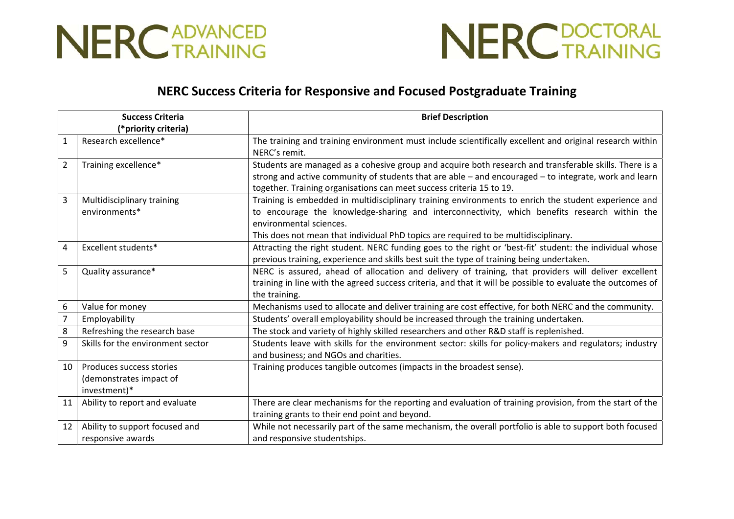



## **NERC Success Criteria for Responsive and Focused Postgraduate Training**

| <b>Success Criteria</b> |                                   | <b>Brief Description</b>                                                                                    |
|-------------------------|-----------------------------------|-------------------------------------------------------------------------------------------------------------|
| (*priority criteria)    |                                   |                                                                                                             |
| $\mathbf{1}$            | Research excellence*              | The training and training environment must include scientifically excellent and original research within    |
|                         |                                   | NERC's remit.                                                                                               |
| $\overline{2}$          | Training excellence*              | Students are managed as a cohesive group and acquire both research and transferable skills. There is a      |
|                         |                                   | strong and active community of students that are able - and encouraged - to integrate, work and learn       |
|                         |                                   | together. Training organisations can meet success criteria 15 to 19.                                        |
| 3                       | Multidisciplinary training        | Training is embedded in multidisciplinary training environments to enrich the student experience and        |
|                         | environments*                     | to encourage the knowledge-sharing and interconnectivity, which benefits research within the                |
|                         |                                   | environmental sciences.                                                                                     |
|                         |                                   | This does not mean that individual PhD topics are required to be multidisciplinary.                         |
| 4                       | Excellent students*               | Attracting the right student. NERC funding goes to the right or 'best-fit' student: the individual whose    |
|                         |                                   | previous training, experience and skills best suit the type of training being undertaken.                   |
| 5                       | Quality assurance*                | NERC is assured, ahead of allocation and delivery of training, that providers will deliver excellent        |
|                         |                                   | training in line with the agreed success criteria, and that it will be possible to evaluate the outcomes of |
|                         |                                   | the training.                                                                                               |
| $\boldsymbol{6}$        | Value for money                   | Mechanisms used to allocate and deliver training are cost effective, for both NERC and the community.       |
| $\overline{7}$          | Employability                     | Students' overall employability should be increased through the training undertaken.                        |
| 8                       | Refreshing the research base      | The stock and variety of highly skilled researchers and other R&D staff is replenished.                     |
| 9                       | Skills for the environment sector | Students leave with skills for the environment sector: skills for policy-makers and regulators; industry    |
|                         |                                   | and business; and NGOs and charities.                                                                       |
| 10                      | Produces success stories          | Training produces tangible outcomes (impacts in the broadest sense).                                        |
|                         | (demonstrates impact of           |                                                                                                             |
|                         | investment)*                      |                                                                                                             |
| 11                      | Ability to report and evaluate    | There are clear mechanisms for the reporting and evaluation of training provision, from the start of the    |
|                         |                                   | training grants to their end point and beyond.                                                              |
| 12                      | Ability to support focused and    | While not necessarily part of the same mechanism, the overall portfolio is able to support both focused     |
|                         | responsive awards                 | and responsive studentships.                                                                                |